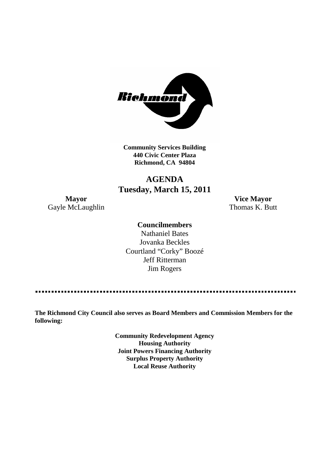

**Community Services Building 440 Civic Center Plaza Richmond, CA 94804**

# **AGENDA Tuesday, March 15, 2011**

**Mayor Vice Mayor** Gayle McLaughlin Thomas K. Butt

# **Councilmembers**

Nathaniel Bates Jovanka Beckles Courtland "Corky" Boozé Jeff Ritterman Jim Rogers

**The Richmond City Council also serves as Board Members and Commission Members for the following:**

> **Community Redevelopment Agency Housing Authority Joint Powers Financing Authority Surplus Property Authority Local Reuse Authority**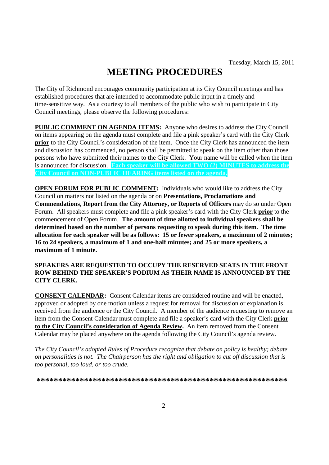# **MEETING PROCEDURES**

The City of Richmond encourages community participation at its City Council meetings and has established procedures that are intended to accommodate public input in a timely and time-sensitive way. As a courtesy to all members of the public who wish to participate in City Council meetings, please observe the following procedures:

**PUBLIC COMMENT ON AGENDA ITEMS:** Anyone who desires to address the City Council on items appearing on the agenda must complete and file a pink speaker's card with the City Clerk **prior** to the City Council's consideration of the item. Once the City Clerk has announced the item and discussion has commenced, no person shall be permitted to speak on the item other than those persons who have submitted their names to the City Clerk. Your name will be called when the item is announced for discussion. **Each speaker will be allowed TWO (2) MINUTES to address the City Council on NON-PUBLIC HEARING items listed on the agenda.**

**OPEN FORUM FOR PUBLIC COMMENT:** Individuals who would like to address the City Council on matters not listed on the agenda or on **Presentations, Proclamations and Commendations, Report from the City Attorney, or Reports of Officers** may do so under Open Forum. All speakers must complete and file a pink speaker's card with the City Clerk **prior** to the commencement of Open Forum. **The amount of time allotted to individual speakers shall be determined based on the number of persons requesting to speak during this item. The time allocation for each speaker will be as follows: 15 or fewer speakers, a maximum of 2 minutes; 16 to 24 speakers, a maximum of 1 and one-half minutes; and 25 or more speakers, a maximum of 1 minute.**

### **SPEAKERS ARE REQUESTED TO OCCUPY THE RESERVED SEATS IN THE FRONT ROW BEHIND THE SPEAKER'S PODIUM AS THEIR NAME IS ANNOUNCED BY THE CITY CLERK.**

**CONSENT CALENDAR:** Consent Calendar items are considered routine and will be enacted, approved or adopted by one motion unless a request for removal for discussion or explanation is received from the audience or the City Council. A member of the audience requesting to remove an item from the Consent Calendar must complete and file a speaker's card with the City Clerk **prior to the City Council's consideration of Agenda Review.** An item removed from the Consent Calendar may be placed anywhere on the agenda following the City Council's agenda review.

*The City Council's adopted Rules of Procedure recognize that debate on policy is healthy; debate on personalities is not. The Chairperson has the right and obligation to cut off discussion that is too personal, too loud, or too crude.*

**\*\*\*\*\*\*\*\*\*\*\*\*\*\*\*\*\*\*\*\*\*\*\*\*\*\*\*\*\*\*\*\*\*\*\*\*\*\*\*\*\*\*\*\*\*\*\*\*\*\*\*\*\*\*\*\*\*\***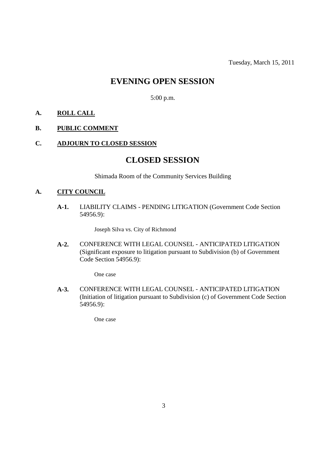# **EVENING OPEN SESSION**

5:00 p.m.

# **A. ROLL CALL**

### **B. PUBLIC COMMENT**

### **C. ADJOURN TO CLOSED SESSION**

# **CLOSED SESSION**

Shimada Room of the Community Services Building

# **A. CITY COUNCIL**

**A-1.** LIABILITY CLAIMS - PENDING LITIGATION (Government Code Section 54956.9):

Joseph Silva vs. City of Richmond

**A-2.** CONFERENCE WITH LEGAL COUNSEL - ANTICIPATED LITIGATION (Significant exposure to litigation pursuant to Subdivision (b) of Government Code Section 54956.9):

One case

**A-3.** CONFERENCE WITH LEGAL COUNSEL - ANTICIPATED LITIGATION (Initiation of litigation pursuant to Subdivision (c) of Government Code Section 54956.9):

One case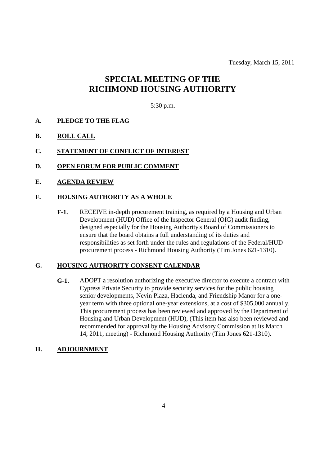Tuesday, March 15, 2011

# **SPECIAL MEETING OF THE RICHMOND HOUSING AUTHORITY**

### 5:30 p.m.

### **A. PLEDGE TO THE FLAG**

- **B. ROLL CALL**
- **C. STATEMENT OF CONFLICT OF INTEREST**
- **D. OPEN FORUM FOR PUBLIC COMMENT**

### **E. AGENDA REVIEW**

### **F. HOUSING AUTHORITY AS A WHOLE**

**F-1.** RECEIVE in-depth procurement training, as required by a Housing and Urban Development (HUD) Office of the Inspector General (OIG) audit finding, designed especially for the Housing Authority's Board of Commissioners to ensure that the board obtains a full understanding of its duties and responsibilities as set forth under the rules and regulations of the Federal/HUD procurement process - Richmond Housing Authority (Tim Jones 621-1310).

# **G. HOUSING AUTHORITY CONSENT CALENDAR**

**G-1.** ADOPT a resolution authorizing the executive director to execute a contract with Cypress Private Security to provide security services for the public housing senior developments, Nevin Plaza, Hacienda, and Friendship Manor for a oneyear term with three optional one-year extensions, at a cost of \$305,000 annually. This procurement process has been reviewed and approved by the Department of Housing and Urban Development (HUD), (This item has also been reviewed and recommended for approval by the Housing Advisory Commission at its March 14, 2011, meeting) - Richmond Housing Authority (Tim Jones 621-1310).

### **H. ADJOURNMENT**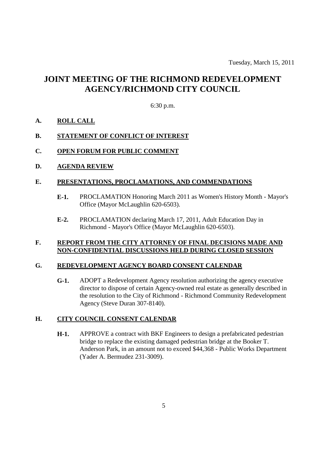Tuesday, March 15, 2011

# **JOINT MEETING OF THE RICHMOND REDEVELOPMENT AGENCY/RICHMOND CITY COUNCIL**

### 6:30 p.m.

### **A. ROLL CALL**

### **B. STATEMENT OF CONFLICT OF INTEREST**

### **C. OPEN FORUM FOR PUBLIC COMMENT**

### **D. AGENDA REVIEW**

#### **E. PRESENTATIONS, PROCLAMATIONS, AND COMMENDATIONS**

- **E-1.** PROCLAMATION Honoring March 2011 as Women's History Month Mayor's Office (Mayor McLaughlin 620-6503).
- **E-2.** PROCLAMATION declaring March 17, 2011, Adult Education Day in Richmond - Mayor's Office (Mayor McLaughlin 620-6503).

### **F. REPORT FROM THE CITY ATTORNEY OF FINAL DECISIONS MADE AND NON-CONFIDENTIAL DISCUSSIONS HELD DURING CLOSED SESSION**

#### **G. REDEVELOPMENT AGENCY BOARD CONSENT CALENDAR**

**G-1.** ADOPT a Redevelopment Agency resolution authorizing the agency executive director to dispose of certain Agency-owned real estate as generally described in the resolution to the City of Richmond - Richmond Community Redevelopment Agency (Steve Duran 307-8140).

# **H. CITY COUNCIL CONSENT CALENDAR**

**H-1.** APPROVE a contract with BKF Engineers to design a prefabricated pedestrian bridge to replace the existing damaged pedestrian bridge at the Booker T. Anderson Park, in an amount not to exceed \$44,368 - Public Works Department (Yader A. Bermudez 231-3009).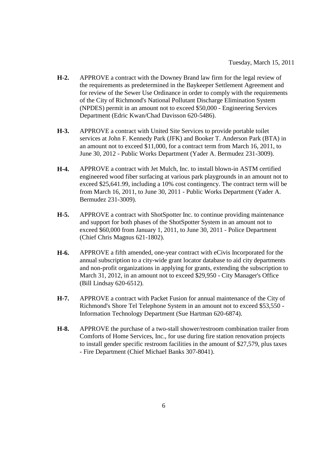- **H-2.** APPROVE a contract with the Downey Brand law firm for the legal review of the requirements as predetermined in the Baykeeper Settlement Agreement and for review of the Sewer Use Ordinance in order to comply with the requirements of the City of Richmond's National Pollutant Discharge Elimination System (NPDES) permit in an amount not to exceed \$50,000 - Engineering Services Department (Edric Kwan/Chad Davisson 620-5486).
- **H-3.** APPROVE a contract with United Site Services to provide portable toilet services at John F. Kennedy Park (JFK) and Booker T. Anderson Park (BTA) in an amount not to exceed \$11,000, for a contract term from March 16, 2011, to June 30, 2012 - Public Works Department (Yader A. Bermudez 231-3009).
- **H-4.** APPROVE a contract with Jet Mulch, Inc. to install blown-in ASTM certified engineered wood fiber surfacing at various park playgrounds in an amount not to exceed \$25,641.99, including a 10% cost contingency. The contract term will be from March 16, 2011, to June 30, 2011 - Public Works Department (Yader A. Bermudez 231-3009).
- **H-5.** APPROVE a contract with ShotSpotter Inc. to continue providing maintenance and support for both phases of the ShotSpotter System in an amount not to exceed \$60,000 from January 1, 2011, to June 30, 2011 - Police Department (Chief Chris Magnus 621-1802).
- **H-6.** APPROVE a fifth amended, one-year contract with eCivis Incorporated for the annual subscription to a city-wide grant locator database to aid city departments and non-profit organizations in applying for grants, extending the subscription to March 31, 2012, in an amount not to exceed \$29,950 - City Manager's Office (Bill Lindsay 620-6512).
- **H-7.** APPROVE a contract with Packet Fusion for annual maintenance of the City of Richmond's Shore Tel Telephone System in an amount not to exceed \$53,550 - Information Technology Department (Sue Hartman 620-6874).
- **H-8.** APPROVE the purchase of a two-stall shower/restroom combination trailer from Comforts of Home Services, Inc., for use during fire station renovation projects to install gender specific restroom facilities in the amount of \$27,579, plus taxes - Fire Department (Chief Michael Banks 307-8041).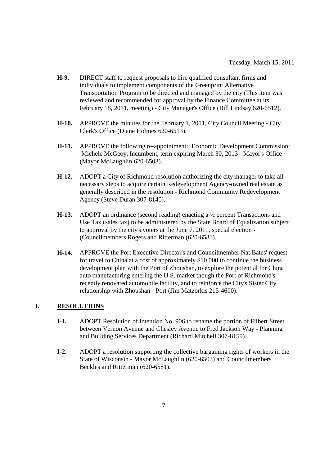- **H-9.** DIRECT staff to request proposals to hire qualified consultant firms and individuals to implement components of the Greenprint Alternative Transportation Program to be directed and managed by the city (This item was reviewed and recommended for approval by the Finance Committee at its February 18, 2011, meeting) - City Manager's Office (Bill Lindsay 620-6512).
- **H-10.** APPROVE the minutes for the February 1, 2011, City Council Meeting City Clerk's Office (Diane Holmes 620-6513).
- **H-11.** APPROVE the following re-appointment: Economic Development Commission: Michele McGeoy, Incumbent, term expiring March 30, 2013 - Mayor's Office (Mayor McLaughlin 620-6503).
- **H-12.** ADOPT a City of Richmond resolution authorizing the city manager to take all necessary steps to acquire certain Redevelopment Agency-owned real estate as generally described in the resolution - Richmond Community Redevelopment Agency (Steve Duran 307-8140).
- **H-13.** ADOPT an ordinance (second reading) enacting a ½ percent Transactions and Use Tax (sales tax) to be administered by the State Board of Equalization subject to approval by the city's voters at the June 7, 2011, special election - (Councilmembers Rogers and Ritterman (620-6581).
- **H-14.** APPROVE the Port Executive Director's and Councilmember Nat Bates' request for travel to China at a cost of approximately \$10,000 to continue the business development plan with the Port of Zhoushan, to explore the potential for China auto manufacturing entering the U.S. market though the Port of Richmond's recently renovated automobile facility, and to reinforce the City's Sister City relationship with Zhoushan - Port (Jim Matzorkis 215-4600).

# **I. RESOLUTIONS**

- **I-1.** ADOPT Resolution of Intention No. 906 to rename the portion of Filbert Street between Vernon Avenue and Chesley Avenue to Fred Jackson Way - Planning and Building Services Department (Richard Mitchell 307-8159).
- **I-2.** ADOPT a resolution supporting the collective bargaining rights of workers in the State of Wisconsin - Mayor McLaughlin (620-6503) and Councilmembers Beckles and Ritterman (620-6581).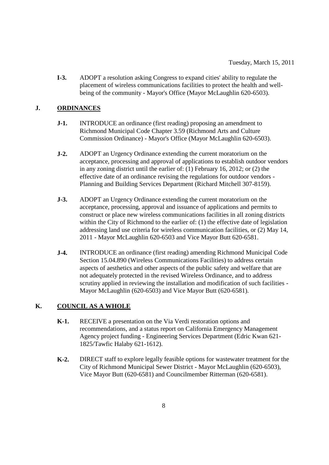**I-3.** ADOPT a resolution asking Congress to expand cities' ability to regulate the placement of wireless communications facilities to protect the health and wellbeing of the community - Mayor's Office (Mayor McLaughlin 620-6503).

# **J. ORDINANCES**

- **J-1.** INTRODUCE an ordinance (first reading) proposing an amendment to Richmond Municipal Code Chapter 3.59 (Richmond Arts and Culture Commission Ordinance) - Mayor's Office (Mayor McLaughlin 620-6503).
- **J-2.** ADOPT an Urgency Ordinance extending the current moratorium on the acceptance, processing and approval of applications to establish outdoor vendors in any zoning district until the earlier of: (1) February 16, 2012; or (2) the effective date of an ordinance revising the regulations for outdoor vendors - Planning and Building Services Department (Richard Mitchell 307-8159).
- **J-3.** ADOPT an Urgency Ordinance extending the current moratorium on the acceptance, processing, approval and issuance of applications and permits to construct or place new wireless communications facilities in all zoning districts within the City of Richmond to the earlier of: (1) the effective date of legislation addressing land use criteria for wireless communication facilities, or (2) May 14, 2011 - Mayor McLaughlin 620-6503 and Vice Mayor Butt 620-6581.
- **J-4.** INTRODUCE an ordinance (first reading) amending Richmond Municipal Code Section 15.04.890 (Wireless Communications Facilities) to address certain aspects of aesthetics and other aspects of the public safety and welfare that are not adequately protected in the revised Wireless Ordinance, and to address scrutiny applied in reviewing the installation and modification of such facilities - Mayor McLaughlin (620-6503) and Vice Mayor Butt (620-6581).

### **K. COUNCIL AS A WHOLE**

- **K-1.** RECEIVE a presentation on the Via Verdi restoration options and recommendations, and a status report on California Emergency Management Agency project funding - Engineering Services Department (Edric Kwan 621- 1825/Tawfic Halaby 621-1612).
- **K-2.** DIRECT staff to explore legally feasible options for wastewater treatment for the City of Richmond Municipal Sewer District - Mayor McLaughlin (620-6503), Vice Mayor Butt (620-6581) and Councilmember Ritterman (620-6581).